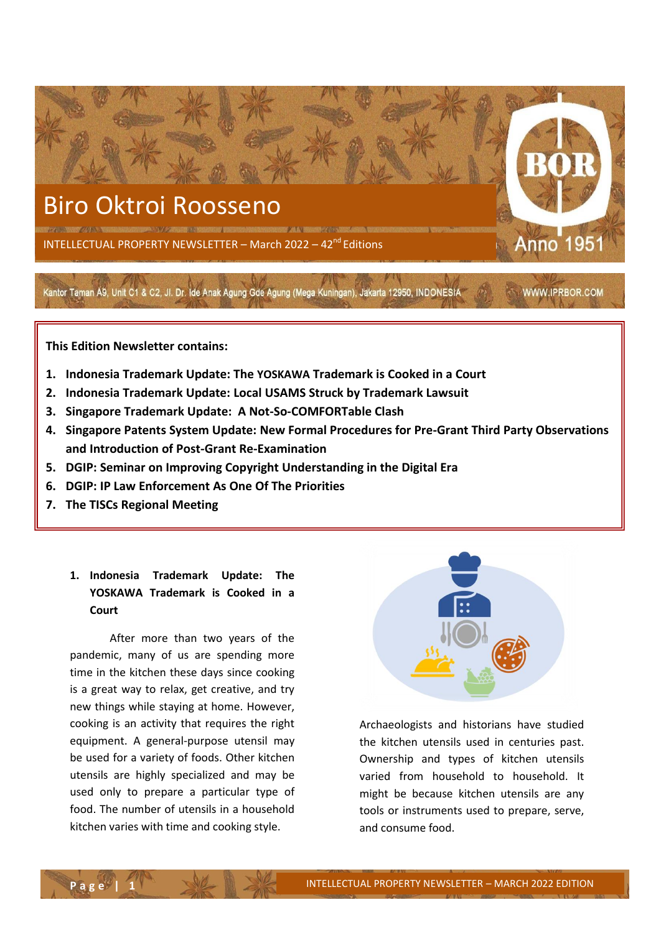

# Biro Oktroi Roosseno

INTELLECTUAL PROPERTY NEWSLETTER - March 2022 - 42<sup>nd</sup> Editions

Kantor Taman A9, Unit C1 & C2, Jl. Dr. Ide Anak Agung Gde Agung (Mega Kuningan), Jakarta 12950, INDONESIA WWW.IPRBOR.COM

**This Edition Newsletter contains:** 

- **1. Indonesia Trademark Update: The YOSKAWA Trademark is Cooked in a Court**
- **2. Indonesia Trademark Update: Local USAMS Struck by Trademark Lawsuit**
- **3. Singapore Trademark Update: A Not-So-COMFORTable Clash**
- **4. Singapore Patents System Update: New Formal Procedures for Pre-Grant Third Party Observations and Introduction of Post-Grant Re-Examination**
- **5. DGIP: Seminar on Improving Copyright Understanding in the Digital Era**
- **6. DGIP: IP Law Enforcement As One Of The Priorities**
- **7. The TISCs Regional Meeting**

## **1. Indonesia Trademark Update: The YOSKAWA Trademark is Cooked in a Court**

After more than two years of the pandemic, many of us are spending more time in the kitchen these days since cooking is a great way to relax, get creative, and try new things while staying at home. However, cooking is an activity that requires the right equipment. A general-purpose utensil may be used for a variety of foods. Other kitchen utensils are highly specialized and may be used only to prepare a particular type of food. The number of utensils in a household kitchen varies with time and cooking style.



Anno 1951

Archaeologists and historians have studied the kitchen utensils used in centuries past. Ownership and types of kitchen utensils varied from household to household. It might be because kitchen utensils are any tools or instruments used to prepare, serve, and consume food.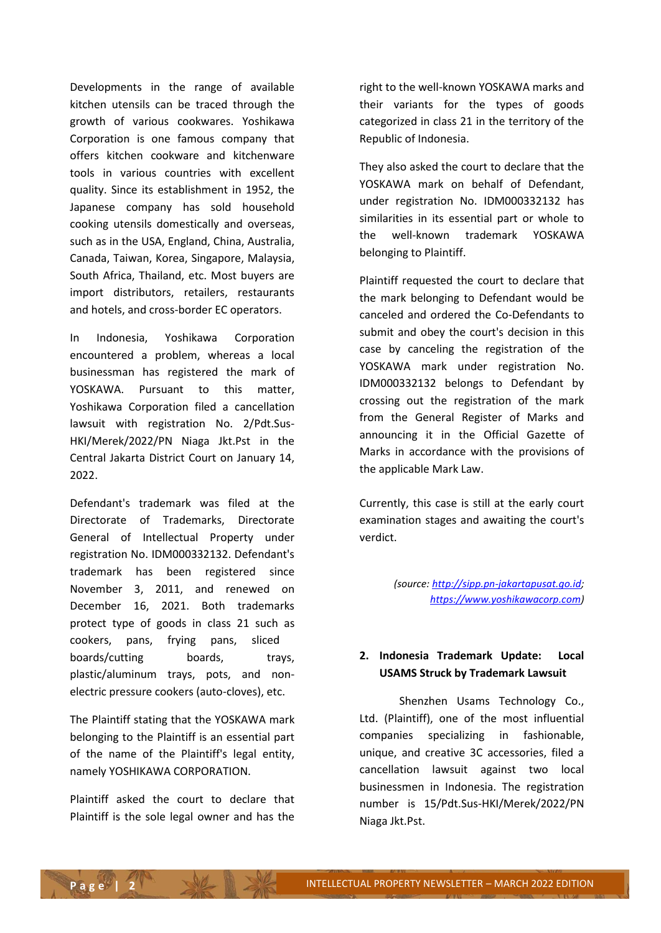Developments in the range of available kitchen utensils can be traced through the growth of various cookwares. Yoshikawa Corporation is one famous company that offers kitchen cookware and kitchenware tools in various countries with excellent quality. Since its establishment in 1952, the Japanese company has sold household cooking utensils domestically and overseas, such as in the USA, England, China, Australia, Canada, Taiwan, Korea, Singapore, Malaysia, South Africa, Thailand, etc. Most buyers are import distributors, retailers, restaurants and hotels, and cross-border EC operators.

In Indonesia, Yoshikawa Corporation encountered a problem, whereas a local businessman has registered the mark of YOSKAWA. Pursuant to this matter, Yoshikawa Corporation filed a cancellation lawsuit with registration No. 2/Pdt.Sus-HKI/Merek/2022/PN Niaga Jkt.Pst in the Central Jakarta District Court on January 14, 2022.

Defendant's trademark was filed at the Directorate of Trademarks, Directorate General of Intellectual Property under registration No. IDM000332132. Defendant's trademark has been registered since November 3, 2011, and renewed on December 16, 2021. Both trademarks protect type of goods in class 21 such as cookers, pans, frying pans, sliced boards/cutting boards, trays, plastic/aluminum trays, pots, and nonelectric pressure cookers (auto-cloves), etc.

The Plaintiff stating that the YOSKAWA mark belonging to the Plaintiff is an essential part of the name of the Plaintiff's legal entity, namely YOSHIKAWA CORPORATION.

Plaintiff asked the court to declare that Plaintiff is the sole legal owner and has the right to the well-known YOSKAWA marks and their variants for the types of goods categorized in class 21 in the territory of the Republic of Indonesia.

They also asked the court to declare that the YOSKAWA mark on behalf of Defendant, under registration No. IDM000332132 has similarities in its essential part or whole to the well-known trademark YOSKAWA belonging to Plaintiff.

Plaintiff requested the court to declare that the mark belonging to Defendant would be canceled and ordered the Co-Defendants to submit and obey the court's decision in this case by canceling the registration of the YOSKAWA mark under registration No. IDM000332132 belongs to Defendant by crossing out the registration of the mark from the General Register of Marks and announcing it in the Official Gazette of Marks in accordance with the provisions of the applicable Mark Law.

Currently, this case is still at the early court examination stages and awaiting the court's verdict.

> *(source[: http://sipp.pn-jakartapusat.go.id;](http://sipp.pn-jakartapusat.go.id/) [https://www.yoshikawacorp.com\)](https://www.yoshikawacorp.com/)*

### **2. Indonesia Trademark Update: Local USAMS Struck by Trademark Lawsuit**

Shenzhen Usams Technology Co., Ltd. (Plaintiff), one of the most influential companies specializing in fashionable, unique, and creative 3C accessories, filed a cancellation lawsuit against two local businessmen in Indonesia. The registration number is 15/Pdt.Sus-HKI/Merek/2022/PN Niaga Jkt.Pst.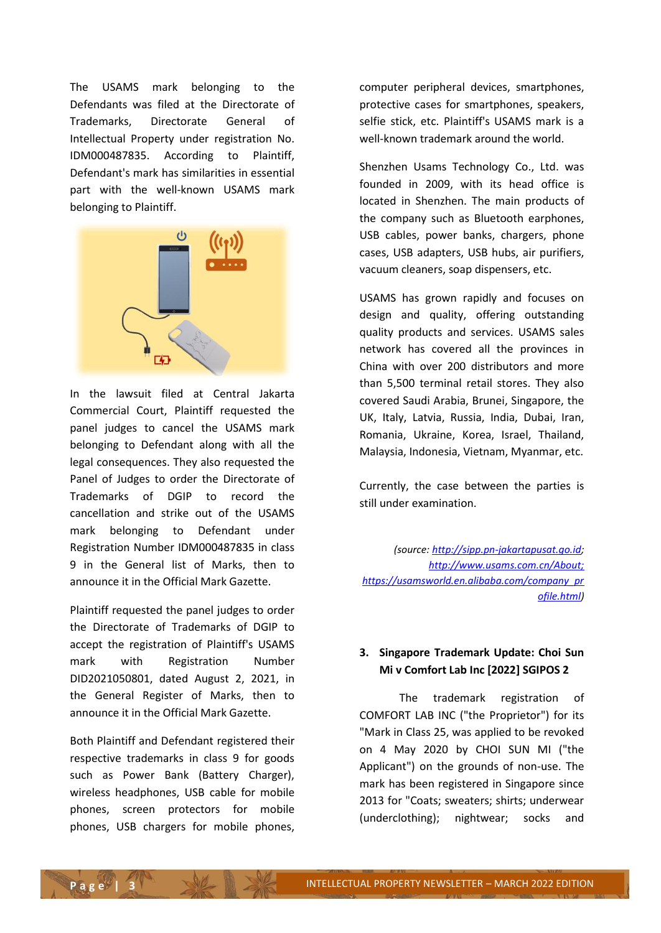The USAMS mark belonging to the Defendants was filed at the Directorate of Trademarks, Directorate General of Intellectual Property under registration No. IDM000487835. According to Plaintiff, Defendant's mark has similarities in essential part with the well-known USAMS mark belonging to Plaintiff.



In the lawsuit filed at Central Jakarta Commercial Court, Plaintiff requested the panel judges to cancel the USAMS mark belonging to Defendant along with all the legal consequences. They also requested the Panel of Judges to order the Directorate of Trademarks of DGIP to record the cancellation and strike out of the USAMS mark belonging to Defendant under Registration Number IDM000487835 in class 9 in the General list of Marks, then to announce it in the Official Mark Gazette.

Plaintiff requested the panel judges to order the Directorate of Trademarks of DGIP to accept the registration of Plaintiff's USAMS mark with Registration Number DID2021050801, dated August 2, 2021, in the General Register of Marks, then to announce it in the Official Mark Gazette.

Both Plaintiff and Defendant registered their respective trademarks in class 9 for goods such as Power Bank (Battery Charger), wireless headphones, USB cable for mobile phones, screen protectors for mobile phones, USB chargers for mobile phones,

computer peripheral devices, smartphones, protective cases for smartphones, speakers, selfie stick, etc. Plaintiff's USAMS mark is a well-known trademark around the world.

Shenzhen Usams Technology Co., Ltd. was founded in 2009, with its head office is located in Shenzhen. The main products of the company such as Bluetooth earphones, USB cables, power banks, chargers, phone cases, USB adapters, USB hubs, air purifiers, vacuum cleaners, soap dispensers, etc.

USAMS has grown rapidly and focuses on design and quality, offering outstanding quality products and services. USAMS sales network has covered all the provinces in China with over 200 distributors and more than 5,500 terminal retail stores. They also covered Saudi Arabia, Brunei, Singapore, the UK, Italy, Latvia, Russia, India, Dubai, Iran, Romania, Ukraine, Korea, Israel, Thailand, Malaysia, Indonesia, Vietnam, Myanmar, etc.

Currently, the case between the parties is still under examination.

*(source[: http://sipp.pn-jakartapusat.go.id;](http://sipp.pn-jakartapusat.go.id/) <http://www.usams.com.cn/About;> [https://usamsworld.en.alibaba.com/company\\_pr](https://usamsworld.en.alibaba.com/company_profile.html) [ofile.html\)](https://usamsworld.en.alibaba.com/company_profile.html)*

## **3. Singapore Trademark Update: Choi Sun Mi v Comfort Lab Inc [2022] SGIPOS 2**

The trademark registration of COMFORT LAB INC ("the Proprietor") for its "Mark in Class 25, was applied to be revoked on 4 May 2020 by CHOI SUN MI ("the Applicant") on the grounds of non-use. The mark has been registered in Singapore since 2013 for "Coats; sweaters; shirts; underwear (underclothing); nightwear; socks and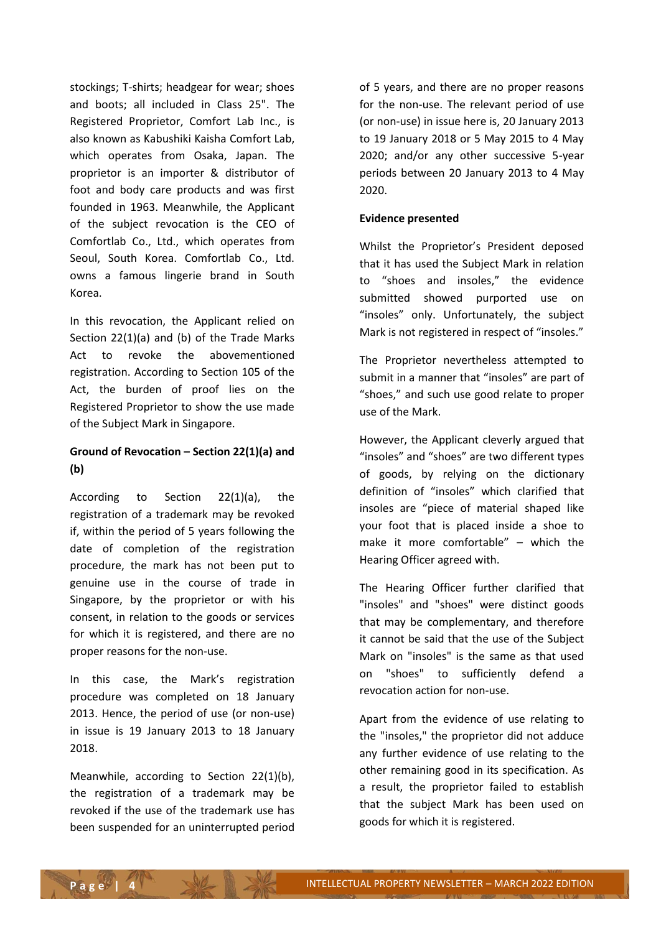stockings; T-shirts; headgear for wear; shoes and boots; all included in Class 25". The Registered Proprietor, Comfort Lab Inc., is also known as Kabushiki Kaisha Comfort Lab, which operates from Osaka, Japan. The proprietor is an importer & distributor of foot and body care products and was first founded in 1963. Meanwhile, the Applicant of the subject revocation is the CEO of Comfortlab Co., Ltd., which operates from Seoul, South Korea. Comfortlab Co., Ltd. owns a famous lingerie brand in South Korea.

In this revocation, the Applicant relied on Section 22(1)(a) and (b) of the Trade Marks Act to revoke the abovementioned registration. According to Section 105 of the Act, the burden of proof lies on the Registered Proprietor to show the use made of the Subject Mark in Singapore.

## **Ground of Revocation – Section 22(1)(a) and (b)**

According to Section 22(1)(a), the registration of a trademark may be revoked if, within the period of 5 years following the date of completion of the registration procedure, the mark has not been put to genuine use in the course of trade in Singapore, by the proprietor or with his consent, in relation to the goods or services for which it is registered, and there are no proper reasons for the non-use.

In this case, the Mark's registration procedure was completed on 18 January 2013. Hence, the period of use (or non-use) in issue is 19 January 2013 to 18 January 2018.

Meanwhile, according to Section 22(1)(b), the registration of a trademark may be revoked if the use of the trademark use has been suspended for an uninterrupted period of 5 years, and there are no proper reasons for the non-use. The relevant period of use (or non-use) in issue here is, 20 January 2013 to 19 January 2018 or 5 May 2015 to 4 May 2020; and/or any other successive 5-year periods between 20 January 2013 to 4 May 2020.

#### **Evidence presented**

Whilst the Proprietor's President deposed that it has used the Subject Mark in relation to "shoes and insoles," the evidence submitted showed purported use on "insoles" only. Unfortunately, the subject Mark is not registered in respect of "insoles."

The Proprietor nevertheless attempted to submit in a manner that "insoles" are part of "shoes," and such use good relate to proper use of the Mark.

However, the Applicant cleverly argued that "insoles" and "shoes" are two different types of goods, by relying on the dictionary definition of "insoles" which clarified that insoles are "piece of material shaped like your foot that is placed inside a shoe to make it more comfortable" – which the Hearing Officer agreed with.

The Hearing Officer further clarified that "insoles" and "shoes" were distinct goods that may be complementary, and therefore it cannot be said that the use of the Subject Mark on "insoles" is the same as that used on "shoes" to sufficiently defend a revocation action for non-use.

Apart from the evidence of use relating to the "insoles," the proprietor did not adduce any further evidence of use relating to the other remaining good in its specification. As a result, the proprietor failed to establish that the subject Mark has been used on goods for which it is registered.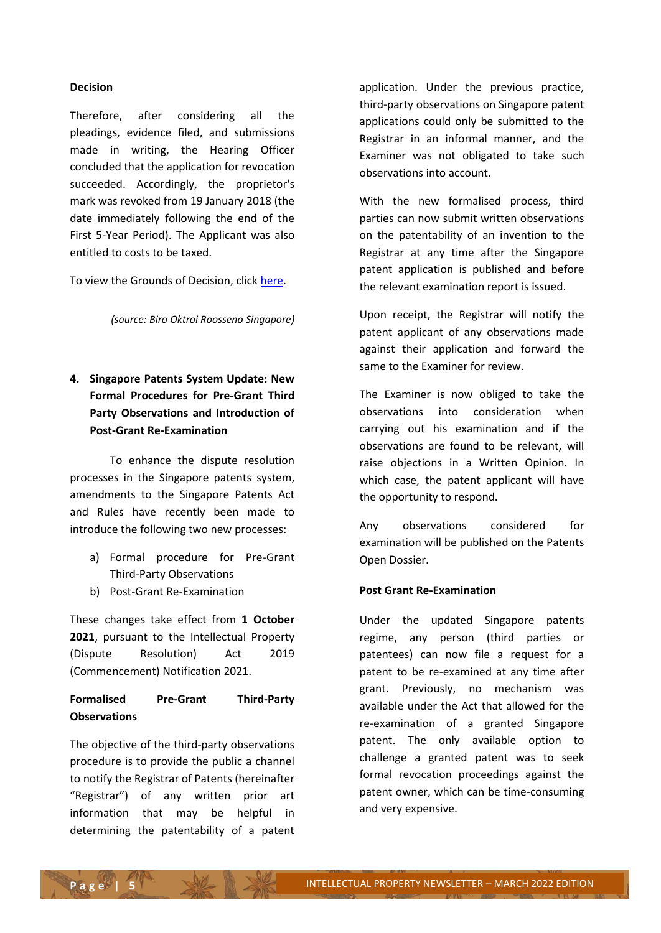#### **Decision**

Therefore, after considering all the pleadings, evidence filed, and submissions made in writing, the Hearing Officer concluded that the application for revocation succeeded. Accordingly, the proprietor's mark was revoked from 19 January 2018 (the date immediately following the end of the First 5-Year Period). The Applicant was also entitled to costs to be taxed.

To view the Grounds of Decision, clic[k here.](https://www.ipos.gov.sg/docs/default-source/resources-library/hearings-and-mediation/legal-decisions/2022/choi-sun-mi-v-comfort-lab-2022-sgipos-2.pdf)

*(source: Biro Oktroi Roosseno Singapore)*

**4. Singapore Patents System Update: New Formal Procedures for Pre-Grant Third Party Observations and Introduction of Post-Grant Re-Examination**

To enhance the dispute resolution processes in the Singapore patents system, amendments to the Singapore Patents Act and Rules have recently been made to introduce the following two new processes:

- a) Formal procedure for Pre-Grant Third-Party Observations
- b) Post-Grant Re-Examination

These changes take effect from **1 October 2021**, pursuant to the Intellectual Property (Dispute Resolution) Act 2019 (Commencement) Notification 2021.

## **Formalised Pre-Grant Third-Party Observations**

The objective of the third-party observations procedure is to provide the public a channel to notify the Registrar of Patents (hereinafter "Registrar") of any written prior art information that may be helpful in determining the patentability of a patent application. Under the previous practice, third-party observations on Singapore patent applications could only be submitted to the Registrar in an informal manner, and the Examiner was not obligated to take such observations into account.

With the new formalised process, third parties can now submit written observations on the patentability of an invention to the Registrar at any time after the Singapore patent application is published and before the relevant examination report is issued.

Upon receipt, the Registrar will notify the patent applicant of any observations made against their application and forward the same to the Examiner for review.

The Examiner is now obliged to take the observations into consideration when carrying out his examination and if the observations are found to be relevant, will raise objections in a Written Opinion. In which case, the patent applicant will have the opportunity to respond.

Any observations considered for examination will be published on the Patents Open Dossier.

#### **Post Grant Re-Examination**

Under the updated Singapore patents regime, any person (third parties or patentees) can now file a request for a patent to be re-examined at any time after grant. Previously, no mechanism was available under the Act that allowed for the re-examination of a granted Singapore patent. The only available option to challenge a granted patent was to seek formal revocation proceedings against the patent owner, which can be time-consuming and very expensive.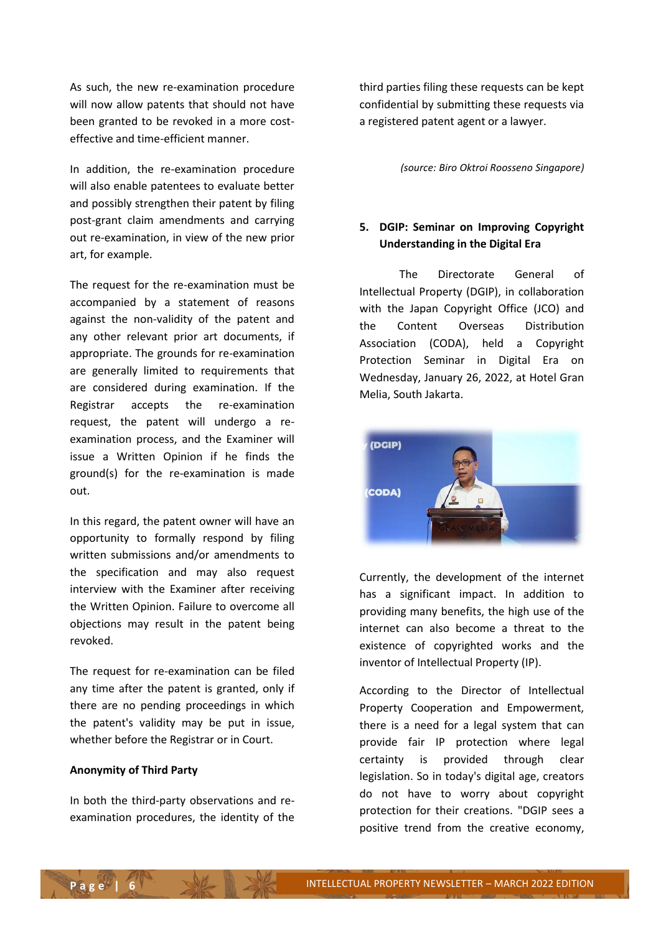As such, the new re-examination procedure will now allow patents that should not have been granted to be revoked in a more costeffective and time-efficient manner.

In addition, the re-examination procedure will also enable patentees to evaluate better and possibly strengthen their patent by filing post-grant claim amendments and carrying out re-examination, in view of the new prior art, for example.

The request for the re-examination must be accompanied by a statement of reasons against the non-validity of the patent and any other relevant prior art documents, if appropriate. The grounds for re-examination are generally limited to requirements that are considered during examination. If the Registrar accepts the re-examination request, the patent will undergo a reexamination process, and the Examiner will issue a Written Opinion if he finds the ground(s) for the re-examination is made out.

In this regard, the patent owner will have an opportunity to formally respond by filing written submissions and/or amendments to the specification and may also request interview with the Examiner after receiving the Written Opinion. Failure to overcome all objections may result in the patent being revoked.

The request for re-examination can be filed any time after the patent is granted, only if there are no pending proceedings in which the patent's validity may be put in issue, whether before the Registrar or in Court.

#### **Anonymity of Third Party**

In both the third-party observations and reexamination procedures, the identity of the third parties filing these requests can be kept confidential by submitting these requests via a registered patent agent or a lawyer.

*(source: Biro Oktroi Roosseno Singapore)*

## **5. DGIP: Seminar on Improving Copyright Understanding in the Digital Era**

The Directorate General of Intellectual Property (DGIP), in collaboration with the Japan Copyright Office (JCO) and the Content Overseas Distribution Association (CODA), held a Copyright Protection Seminar in Digital Era on Wednesday, January 26, 2022, at Hotel Gran Melia, South Jakarta.



Currently, the development of the internet has a significant impact. In addition to providing many benefits, the high use of the internet can also become a threat to the existence of copyrighted works and the inventor of Intellectual Property (IP).

According to the Director of Intellectual Property Cooperation and Empowerment, there is a need for a legal system that can provide fair IP protection where legal certainty is provided through clear legislation. So in today's digital age, creators do not have to worry about copyright protection for their creations. "DGIP sees a positive trend from the creative economy,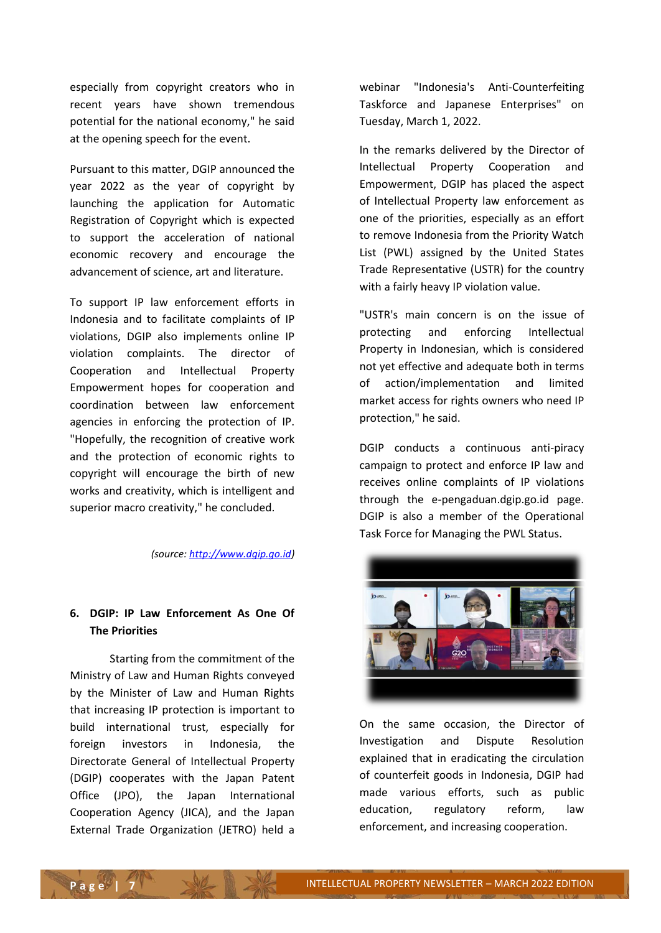especially from copyright creators who in recent years have shown tremendous potential for the national economy," he said at the opening speech for the event.

Pursuant to this matter, DGIP announced the year 2022 as the year of copyright by launching the application for Automatic Registration of Copyright which is expected to support the acceleration of national economic recovery and encourage the advancement of science, art and literature.

To support IP law enforcement efforts in Indonesia and to facilitate complaints of IP violations, DGIP also implements online IP violation complaints. The director of Cooperation and Intellectual Property Empowerment hopes for cooperation and coordination between law enforcement agencies in enforcing the protection of IP. "Hopefully, the recognition of creative work and the protection of economic rights to copyright will encourage the birth of new works and creativity, which is intelligent and superior macro creativity," he concluded.

*(source[: http://www.dgip.go.id\)](http://www.dgip.go.id/)*

## **6. DGIP: IP Law Enforcement As One Of The Priorities**

Starting from the commitment of the Ministry of Law and Human Rights conveyed by the Minister of Law and Human Rights that increasing IP protection is important to build international trust, especially for foreign investors in Indonesia, the Directorate General of Intellectual Property (DGIP) cooperates with the Japan Patent Office (JPO), the Japan International Cooperation Agency (JICA), and the Japan External Trade Organization (JETRO) held a

webinar "Indonesia's Anti-Counterfeiting Taskforce and Japanese Enterprises" on Tuesday, March 1, 2022.

In the remarks delivered by the Director of Intellectual Property Cooperation and Empowerment, DGIP has placed the aspect of Intellectual Property law enforcement as one of the priorities, especially as an effort to remove Indonesia from the Priority Watch List (PWL) assigned by the United States Trade Representative (USTR) for the country with a fairly heavy IP violation value.

"USTR's main concern is on the issue of protecting and enforcing Intellectual Property in Indonesian, which is considered not yet effective and adequate both in terms of action/implementation and limited market access for rights owners who need IP protection," he said.

DGIP conducts a continuous anti-piracy campaign to protect and enforce IP law and receives online complaints of IP violations through the e-pengaduan.dgip.go.id page. DGIP is also a member of the Operational Task Force for Managing the PWL Status.



On the same occasion, the Director of Investigation and Dispute Resolution explained that in eradicating the circulation of counterfeit goods in Indonesia, DGIP had made various efforts, such as public education, regulatory reform, law enforcement, and increasing cooperation.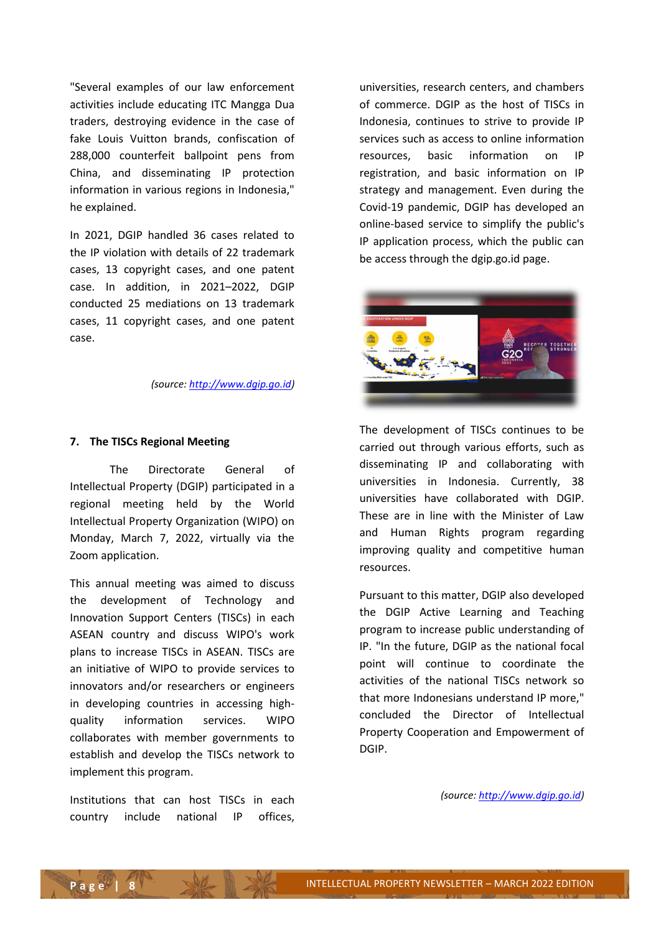"Several examples of our law enforcement activities include educating ITC Mangga Dua traders, destroying evidence in the case of fake Louis Vuitton brands, confiscation of 288,000 counterfeit ballpoint pens from China, and disseminating IP protection information in various regions in Indonesia," he explained.

In 2021, DGIP handled 36 cases related to the IP violation with details of 22 trademark cases, 13 copyright cases, and one patent case. In addition, in 2021–2022, DGIP conducted 25 mediations on 13 trademark cases, 11 copyright cases, and one patent case.

*(source[: http://www.dgip.go.id\)](http://www.dgip.go.id/)*

#### **7. The TISCs Regional Meeting**

The Directorate General of Intellectual Property (DGIP) participated in a regional meeting held by the World Intellectual Property Organization (WIPO) on Monday, March 7, 2022, virtually via the Zoom application.

This annual meeting was aimed to discuss the development of Technology and Innovation Support Centers (TISCs) in each ASEAN country and discuss WIPO's work plans to increase TISCs in ASEAN. TISCs are an initiative of WIPO to provide services to innovators and/or researchers or engineers in developing countries in accessing highquality information services. WIPO collaborates with member governments to establish and develop the TISCs network to implement this program.

Institutions that can host TISCs in each country include national IP offices,

universities, research centers, and chambers of commerce. DGIP as the host of TISCs in Indonesia, continues to strive to provide IP services such as access to online information resources, basic information on IP registration, and basic information on IP strategy and management. Even during the Covid-19 pandemic, DGIP has developed an online-based service to simplify the public's IP application process, which the public can be access through the dgip.go.id page.



The development of TISCs continues to be carried out through various efforts, such as disseminating IP and collaborating with universities in Indonesia. Currently, 38 universities have collaborated with DGIP. These are in line with the Minister of Law and Human Rights program regarding improving quality and competitive human resources.

Pursuant to this matter, DGIP also developed the DGIP Active Learning and Teaching program to increase public understanding of IP. "In the future, DGIP as the national focal point will continue to coordinate the activities of the national TISCs network so that more Indonesians understand IP more," concluded the Director of Intellectual Property Cooperation and Empowerment of DGIP.

*(source[: http://www.dgip.go.id\)](http://www.dgip.go.id/)*